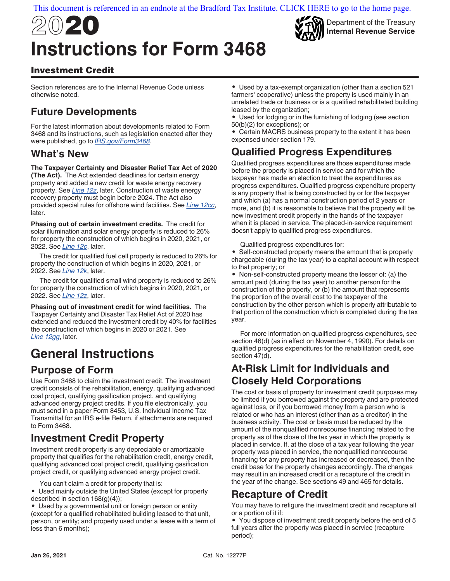# 2020 **Instructions for Form 3468**



Department of the Treasury **Internal Revenue Service**

### Investment Credit

Section references are to the Internal Revenue Code unless otherwise noted.

### **Future Developments**

For the latest information about developments related to Form 3468 and its instructions, such as legislation enacted after they were published, go to *[IRS.gov/Form3468](https://www.irs.gov/form3468)*.

### **What's New**

#### **The Taxpayer Certainty and Disaster Relief Tax Act of 2020**

**(The Act).** The Act extended deadlines for certain energy property and added a new credit for waste energy recovery property. See *[Line 12z](#page-6-0)*, later. Construction of waste energy recovery property must begin before 2024. The Act also provided special rules for offshore wind facilities. See *[Line 12cc](#page-7-0)*, later.

**Phasing out of certain investment credits.** The credit for solar illumination and solar energy property is reduced to 26% for property the construction of which begins in 2020, 2021, or 2022. See *[Line 12c](#page-5-0)*, later.

The credit for qualified fuel cell property is reduced to 26% for property the construction of which begins in 2020, 2021, or 2022. See *[Line 12k](#page-5-0)*, later.

The credit for qualified small wind property is reduced to 26% for property the construction of which begins in 2020, 2021, or 2022. See *[Line 12z](#page-6-0)*, later.

**Phasing out of investment credit for wind facilities.** The Taxpayer Certainty and Disaster Tax Relief Act of 2020 has extended and reduced the investment credit by 40% for facilities the construction of which begins in 2020 or 2021. See *[Line 12gg](#page-8-0)*, later.

# **General Instructions**

### **Purpose of Form**

Use Form 3468 to claim the investment credit. The investment credit consists of the rehabilitation, energy, qualifying advanced coal project, qualifying gasification project, and qualifying advanced energy project credits. If you file electronically, you must send in a paper Form 8453, U.S. Individual Income Tax Transmittal for an IRS e-file Return, if attachments are required to Form 3468.

### **Investment Credit Property**

Investment credit property is any depreciable or amortizable property that qualifies for the rehabilitation credit, energy credit, qualifying advanced coal project credit, qualifying gasification project credit, or qualifying advanced energy project credit.

You can't claim a credit for property that is:

• Used mainly outside the United States (except for property described in section 168(g)(4));

• Used by a governmental unit or foreign person or entity (except for a qualified rehabilitated building leased to that unit, person, or entity; and property used under a lease with a term of less than 6 months);

• Used by a tax-exempt organization (other than a section 521 farmers' cooperative) unless the property is used mainly in an unrelated trade or business or is a qualified rehabilitated building leased by the organization;

• Used for lodging or in the furnishing of lodging (see section 50(b)(2) for exceptions); or

• Certain MACRS business property to the extent it has been expensed under section 179.

### **Qualified Progress Expenditures**

Qualified progress expenditures are those expenditures made before the property is placed in service and for which the taxpayer has made an election to treat the expenditures as progress expenditures. Qualified progress expenditure property is any property that is being constructed by or for the taxpayer and which (a) has a normal construction period of 2 years or more, and (b) it is reasonable to believe that the property will be new investment credit property in the hands of the taxpayer when it is placed in service. The placed-in-service requirement doesn't apply to qualified progress expenditures.

Qualified progress expenditures for:

• Self-constructed property means the amount that is properly chargeable (during the tax year) to a capital account with respect to that property; or

• Non-self-constructed property means the lesser of: (a) the amount paid (during the tax year) to another person for the construction of the property, or (b) the amount that represents the proportion of the overall cost to the taxpayer of the construction by the other person which is properly attributable to that portion of the construction which is completed during the tax year.

For more information on qualified progress expenditures, see section 46(d) (as in effect on November 4, 1990). For details on qualified progress expenditures for the rehabilitation credit, see section 47(d).

### **At-Risk Limit for Individuals and Closely Held Corporations**

The cost or basis of property for investment credit purposes may be limited if you borrowed against the property and are protected against loss, or if you borrowed money from a person who is related or who has an interest (other than as a creditor) in the business activity. The cost or basis must be reduced by the amount of the nonqualified nonrecourse financing related to the property as of the close of the tax year in which the property is placed in service. If, at the close of a tax year following the year property was placed in service, the nonqualified nonrecourse financing for any property has increased or decreased, then the credit base for the property changes accordingly. The changes may result in an increased credit or a recapture of the credit in the year of the change. See sections 49 and 465 for details.

### **Recapture of Credit**

You may have to refigure the investment credit and recapture all or a portion of it if:

• You dispose of investment credit property before the end of 5 full years after the property was placed in service (recapture period);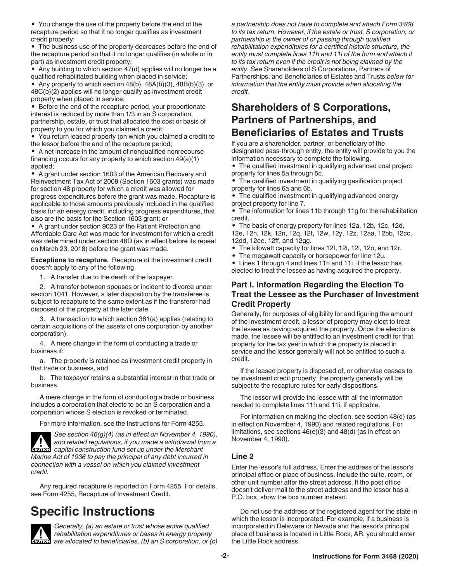• You change the use of the property before the end of the recapture period so that it no longer qualifies as investment credit property;

• The business use of the property decreases before the end of the recapture period so that it no longer qualifies (in whole or in part) as investment credit property;

• Any building to which section 47(d) applies will no longer be a qualified rehabilitated building when placed in service;

• Any property to which section 48(b), 48A(b)(3), 48B(b)(3), or 48C(b)(2) applies will no longer qualify as investment credit property when placed in service;

• Before the end of the recapture period, your proportionate interest is reduced by more than 1/3 in an S corporation, partnership, estate, or trust that allocated the cost or basis of property to you for which you claimed a credit;

• You return leased property (on which you claimed a credit) to the lessor before the end of the recapture period;

• A net increase in the amount of nonqualified nonrecourse financing occurs for any property to which section 49(a)(1) applied;

• A grant under section 1603 of the American Recovery and Reinvestment Tax Act of 2009 (Section 1603 grants) was made for section 48 property for which a credit was allowed for progress expenditures before the grant was made. Recapture is applicable to those amounts previously included in the qualified basis for an energy credit, including progress expenditures, that also are the basis for the Section 1603 grant; or

• A grant under section 9023 of the Patient Protection and Affordable Care Act was made for investment for which a credit was determined under section 48D (as in effect before its repeal on March 23, 2018) before the grant was made.

**Exceptions to recapture.** Recapture of the investment credit doesn't apply to any of the following.

1. A transfer due to the death of the taxpayer.

2. A transfer between spouses or incident to divorce under section 1041. However, a later disposition by the transferee is subject to recapture to the same extent as if the transferor had disposed of the property at the later date.

3. A transaction to which section 381(a) applies (relating to certain acquisitions of the assets of one corporation by another corporation).

4. A mere change in the form of conducting a trade or business if:

a. The property is retained as investment credit property in that trade or business, and

b. The taxpayer retains a substantial interest in that trade or business.

A mere change in the form of conducting a trade or business includes a corporation that elects to be an S corporation and a corporation whose S election is revoked or terminated.

For more information, see the Instructions for Form 4255.



*See section 46(g)(4) (as in effect on November 4, 1990), and related regulations, if you made a withdrawal from a*  **z** and related regulations, if you made a withdrawal from the Merchant  $\alpha$ *Marine Act of 1936 to pay the principal of any debt incurred in* 

*connection with a vessel on which you claimed investment credit.*

Any required recapture is reported on Form 4255. For details, see Form 4255, Recapture of Investment Credit.

## **Specific Instructions**



*Generally, (a) an estate or trust whose entire qualified rehabilitation expenditures or bases in energy property*  **ENGITION** are allocated to beneficiaries, (b) an S corporation, or (c) *a partnership does not have to complete and attach Form 3468 to its tax return. However, if the estate or trust, S corporation, or partnership is the owner of or passing through qualified rehabilitation expenditures for a certified historic structure, the entity must complete lines 11h and 11i of the form and attach it to its tax return even if the credit is not being claimed by the entity. See* Shareholders of S Corporations, Partners of Partnerships, and Beneficiaries of Estates and Trusts *below for information that the entity must provide when allocating the credit.*

### **Shareholders of S Corporations, Partners of Partnerships, and Beneficiaries of Estates and Trusts**

If you are a shareholder, partner, or beneficiary of the designated pass-through entity, the entity will provide to you the information necessary to complete the following.

• The qualified investment in qualifying advanced coal project property for lines 5a through 5c.

• The qualified investment in qualifying gasification project property for lines 6a and 6b.

• The qualified investment in qualifying advanced energy project property for line 7.

• The information for lines 11b through 11g for the rehabilitation credit.

• The basis of energy property for lines 12a, 12b, 12c, 12d, 12e, 12h, 12k, 12n, 12q, 12t, 12w, 12y, 12z, 12aa, 12bb, 12cc, 12dd, 12ee, 12ff, and 12gg.

- The kilowatt capacity for lines 12f, 12i, 12l, 12o, and 12r.
- The megawatt capacity or horsepower for line 12u.

• Lines 1 through 4 and lines 11h and 11i, if the lessor has elected to treat the lessee as having acquired the property.

#### **Part I. Information Regarding the Election To Treat the Lessee as the Purchaser of Investment Credit Property**

Generally, for purposes of eligibility for and figuring the amount of the investment credit, a lessor of property may elect to treat the lessee as having acquired the property. Once the election is made, the lessee will be entitled to an investment credit for that property for the tax year in which the property is placed in service and the lessor generally will not be entitled to such a credit.

If the leased property is disposed of, or otherwise ceases to be investment credit property, the property generally will be subject to the recapture rules for early dispositions.

The lessor will provide the lessee with all the information needed to complete lines 11h and 11i, if applicable.

For information on making the election, see section 48(d) (as in effect on November 4, 1990) and related regulations. For limitations, see sections 46(e)(3) and 48(d) (as in effect on November 4, 1990).

#### **Line 2**

Enter the lessor's full address. Enter the address of the lessor's principal office or place of business. Include the suite, room, or other unit number after the street address. If the post office doesn't deliver mail to the street address and the lessor has a P.O. box, show the box number instead.

Do not use the address of the registered agent for the state in which the lessor is incorporated. For example, if a business is incorporated in Delaware or Nevada and the lessor's principal place of business is located in Little Rock, AR, you should enter the Little Rock address.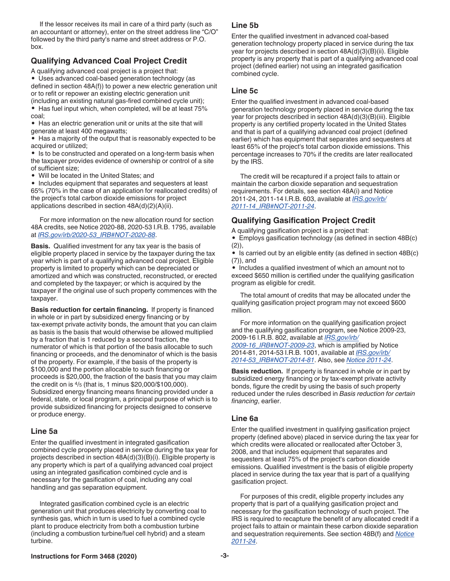<span id="page-2-0"></span>If the lessor receives its mail in care of a third party (such as an accountant or attorney), enter on the street address line "C/O" followed by the third party's name and street address or P.O. box.

#### **Qualifying Advanced Coal Project Credit**

A qualifying advanced coal project is a project that:

• Uses advanced coal-based generation technology (as defined in section 48A(f)) to power a new electric generation unit or to refit or repower an existing electric generation unit (including an existing natural gas-fired combined cycle unit); • Has fuel input which, when completed, will be at least 75% coal;

• Has an electric generation unit or units at the site that will generate at least 400 megawatts;

• Has a majority of the output that is reasonably expected to be acquired or utilized;

• Is to be constructed and operated on a long-term basis when the taxpayer provides evidence of ownership or control of a site of sufficient size;

• Will be located in the United States; and

• Includes equipment that separates and sequesters at least 65% (70% in the case of an application for reallocated credits) of the project's total carbon dioxide emissions for project applications described in section 48A(d)(2)(A)(ii).

For more information on the new allocation round for section 48A credits, see Notice 2020-88, 2020-53 I.R.B. 1795, available at *[IRS.gov/irb/2020-53\\_IRB#NOT-2020-88](https://www.irs.gov/irb/2020-53_IRB#NOT-2020-88)*.

**Basis.** Qualified investment for any tax year is the basis of eligible property placed in service by the taxpayer during the tax year which is part of a qualifying advanced coal project. Eligible property is limited to property which can be depreciated or amortized and which was constructed, reconstructed, or erected and completed by the taxpayer; or which is acquired by the taxpayer if the original use of such property commences with the taxpayer.

**Basis reduction for certain financing.** If property is financed in whole or in part by subsidized energy financing or by tax-exempt private activity bonds, the amount that you can claim as basis is the basis that would otherwise be allowed multiplied by a fraction that is 1 reduced by a second fraction, the numerator of which is that portion of the basis allocable to such financing or proceeds, and the denominator of which is the basis of the property. For example, if the basis of the property is \$100,000 and the portion allocable to such financing or proceeds is \$20,000, the fraction of the basis that you may claim the credit on is 4/5 (that is, 1 minus \$20,000/\$100,000). Subsidized energy financing means financing provided under a federal, state, or local program, a principal purpose of which is to provide subsidized financing for projects designed to conserve or produce energy.

#### **Line 5a**

Enter the qualified investment in integrated gasification combined cycle property placed in service during the tax year for projects described in section 48A(d)(3)(B)(i). Eligible property is any property which is part of a qualifying advanced coal project using an integrated gasification combined cycle and is necessary for the gasification of coal, including any coal handling and gas separation equipment.

Integrated gasification combined cycle is an electric generation unit that produces electricity by converting coal to synthesis gas, which in turn is used to fuel a combined cycle plant to produce electricity from both a combustion turbine (including a combustion turbine/fuel cell hybrid) and a steam turbine.

#### **Line 5b**

Enter the qualified investment in advanced coal-based generation technology property placed in service during the tax year for projects described in section 48A(d)(3)(B)(ii). Eligible property is any property that is part of a qualifying advanced coal project (defined earlier) not using an integrated gasification combined cycle.

#### **Line 5c**

Enter the qualified investment in advanced coal-based generation technology property placed in service during the tax year for projects described in section 48A(d)(3)(B)(iii). Eligible property is any certified property located in the United States and that is part of a qualifying advanced coal project (defined earlier) which has equipment that separates and sequesters at least 65% of the project's total carbon dioxide emissions. This percentage increases to 70% if the credits are later reallocated by the IRS.

The credit will be recaptured if a project fails to attain or maintain the carbon dioxide separation and sequestration requirements. For details, see section 48A(i) and Notice 2011-24, 2011-14 I.R.B. 603, available at *[IRS.gov/irb/](https://www.irs.gov/irb/2011-14_IRB#NOT-2011-24) [2011-14\\_IRB#NOT-2011-24](https://www.irs.gov/irb/2011-14_IRB#NOT-2011-24)*.

#### **Qualifying Gasification Project Credit**

A qualifying gasification project is a project that:

• Employs gasification technology (as defined in section 48B(c) (2)),

• Is carried out by an eligible entity (as defined in section 48B(c) (7)), and

• Includes a qualified investment of which an amount not to exceed \$650 million is certified under the qualifying gasification program as eligible for credit.

The total amount of credits that may be allocated under the qualifying gasification project program may not exceed \$600 million.

For more information on the qualifying gasification project and the qualifying gasification program, see Notice 2009-23, 2009-16 I.R.B. 802, available at *[IRS.gov/irb/](https://www.irs.gov/irb/2009-16_irb#NOT-2009-23) [2009-16\\_IRB#NOT-2009-23](https://www.irs.gov/irb/2009-16_irb#NOT-2009-23)*, which is amplified by Notice 2014-81, 2014-53 I.R.B. 1001, available at *[IRS.gov/irb/](https://www.irs.gov/irb/2014-53_IRB#NOT-2014-81) [2014-53\\_IRB#NOT-2014-81](https://www.irs.gov/irb/2014-53_IRB#NOT-2014-81)*. Also, see *[Notice 2011-24](https://www.irs.gov/irb/2011-14_IRB#NOT-2011-24)*.

**Basis reduction.** If property is financed in whole or in part by subsidized energy financing or by tax-exempt private activity bonds, figure the credit by using the basis of such property reduced under the rules described in *Basis reduction for certain financing*, earlier.

#### **Line 6a**

Enter the qualified investment in qualifying gasification project property (defined above) placed in service during the tax year for which credits were allocated or reallocated after October 3, 2008, and that includes equipment that separates and sequesters at least 75% of the project's carbon dioxide emissions. Qualified investment is the basis of eligible property placed in service during the tax year that is part of a qualifying gasification project.

For purposes of this credit, eligible property includes any property that is part of a qualifying gasification project and necessary for the gasification technology of such project. The IRS is required to recapture the benefit of any allocated credit if a project fails to attain or maintain these carbon dioxide separation and sequestration requirements. See section 48B(f) and *[Notice](https://www.irs.gov/irb/2011-14_IRB#NOT-2011-24)  [2011-24](https://www.irs.gov/irb/2011-14_IRB#NOT-2011-24)*.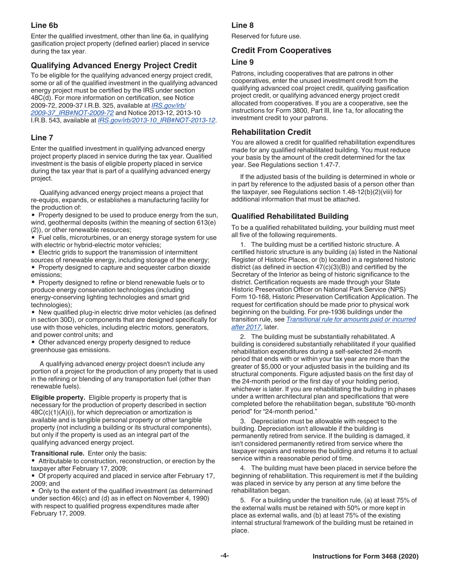#### **Line 6b**

Enter the qualified investment, other than line 6a, in qualifying gasification project property (defined earlier) placed in service during the tax year.

#### **Qualifying Advanced Energy Project Credit**

To be eligible for the qualifying advanced energy project credit, some or all of the qualified investment in the qualifying advanced energy project must be certified by the IRS under section 48C(d). For more information on certification, see Notice 2009-72, 2009-37 I.R.B. 325, available at *[IRS.gov/irb/](https://www.irs.gov/irb/2009-37_IRB#NOT-2009-72) [2009-37\\_IRB#NOT-2009-72](https://www.irs.gov/irb/2009-37_IRB#NOT-2009-72)* and Notice 2013-12, 2013-10 I.R.B. 543, available at *[IRS.gov/irb/2013-10\\_IRB#NOT-2013-12](https://www.irs.gov/irb/2013-10_IRB#NOT-2013-12)*.

#### **Line 7**

Enter the qualified investment in qualifying advanced energy project property placed in service during the tax year. Qualified investment is the basis of eligible property placed in service during the tax year that is part of a qualifying advanced energy project.

Qualifying advanced energy project means a project that re-equips, expands, or establishes a manufacturing facility for the production of:

• Property designed to be used to produce energy from the sun, wind, geothermal deposits (within the meaning of section 613(e) (2)), or other renewable resources;

• Fuel cells, microturbines, or an energy storage system for use with electric or hybrid-electric motor vehicles;

• Electric grids to support the transmission of intermittent

sources of renewable energy, including storage of the energy; • Property designed to capture and sequester carbon dioxide emissions;

• Property designed to refine or blend renewable fuels or to produce energy conservation technologies (including energy-conserving lighting technologies and smart grid technologies);

• New qualified plug-in electric drive motor vehicles (as defined in section 30D), or components that are designed specifically for use with those vehicles, including electric motors, generators, and power control units; and

• Other advanced energy property designed to reduce greenhouse gas emissions.

A qualifying advanced energy project doesn't include any portion of a project for the production of any property that is used in the refining or blending of any transportation fuel (other than renewable fuels).

**Eligible property.** Eligible property is property that is necessary for the production of property described in section 48C(c)(1)(A)(i), for which depreciation or amortization is available and is tangible personal property or other tangible property (not including a building or its structural components), but only if the property is used as an integral part of the qualifying advanced energy project.

**Transitional rule.** Enter only the basis:

• Attributable to construction, reconstruction, or erection by the taxpayer after February 17, 2009;

• Of property acquired and placed in service after February 17, 2009; and

• Only to the extent of the qualified investment (as determined under section 46(c) and (d) as in effect on November 4, 1990) with respect to qualified progress expenditures made after February 17, 2009.

#### **Line 8**

Reserved for future use.

#### **Credit From Cooperatives**

#### **Line 9**

Patrons, including cooperatives that are patrons in other cooperatives, enter the unused investment credit from the qualifying advanced coal project credit, qualifying gasification project credit, or qualifying advanced energy project credit allocated from cooperatives. If you are a cooperative, see the instructions for Form 3800, Part III, line 1a, for allocating the investment credit to your patrons.

#### **Rehabilitation Credit**

You are allowed a credit for qualified rehabilitation expenditures made for any qualified rehabilitated building. You must reduce your basis by the amount of the credit determined for the tax year. See Regulations section 1.47-7.

If the adjusted basis of the building is determined in whole or in part by reference to the adjusted basis of a person other than the taxpayer, see Regulations section 1.48-12(b)(2)(viii) for additional information that must be attached.

#### **Qualified Rehabilitated Building**

To be a qualified rehabilitated building, your building must meet all five of the following requirements.

1. The building must be a certified historic structure. A certified historic structure is any building (a) listed in the National Register of Historic Places, or (b) located in a registered historic district (as defined in section 47(c)(3)(B)) and certified by the Secretary of the Interior as being of historic significance to the district. Certification requests are made through your State Historic Preservation Officer on National Park Service (NPS) Form 10-168, Historic Preservation Certification Application. The request for certification should be made prior to physical work beginning on the building. For pre-1936 buildings under the transition rule, see *[Transitional rule for amounts paid or incurred](#page-4-0) [after 2017](#page-4-0)*, later.

2. The building must be substantially rehabilitated. A building is considered substantially rehabilitated if your qualified rehabilitation expenditures during a self-selected 24-month period that ends with or within your tax year are more than the greater of \$5,000 or your adjusted basis in the building and its structural components. Figure adjusted basis on the first day of the 24-month period or the first day of your holding period, whichever is later. If you are rehabilitating the building in phases under a written architectural plan and specifications that were completed before the rehabilitation began, substitute "60-month period" for "24-month period."

3. Depreciation must be allowable with respect to the building. Depreciation isn't allowable if the building is permanently retired from service. If the building is damaged, it isn't considered permanently retired from service where the taxpayer repairs and restores the building and returns it to actual service within a reasonable period of time.

4. The building must have been placed in service before the beginning of rehabilitation. This requirement is met if the building was placed in service by any person at any time before the rehabilitation began.

5. For a building under the transition rule, (a) at least 75% of the external walls must be retained with 50% or more kept in place as external walls, and (b) at least 75% of the existing internal structural framework of the building must be retained in place.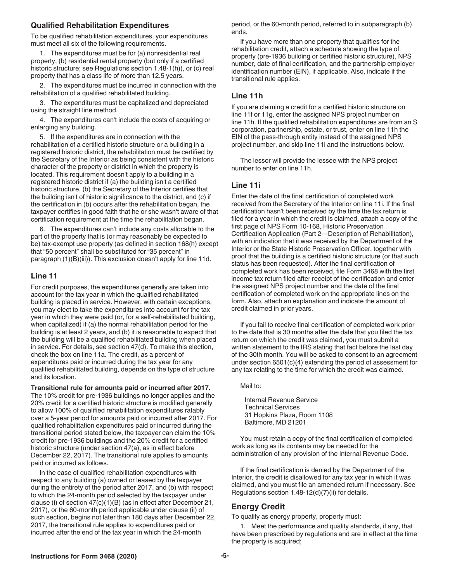#### <span id="page-4-0"></span>**Qualified Rehabilitation Expenditures**

To be qualified rehabilitation expenditures, your expenditures must meet all six of the following requirements.

1. The expenditures must be for (a) nonresidential real property, (b) residential rental property (but only if a certified historic structure; see Regulations section 1.48-1(h)), or (c) real property that has a class life of more than 12.5 years.

2. The expenditures must be incurred in connection with the rehabilitation of a qualified rehabilitated building.

3. The expenditures must be capitalized and depreciated using the straight line method.

4. The expenditures can't include the costs of acquiring or enlarging any building.

5. If the expenditures are in connection with the rehabilitation of a certified historic structure or a building in a registered historic district, the rehabilitation must be certified by the Secretary of the Interior as being consistent with the historic character of the property or district in which the property is located. This requirement doesn't apply to a building in a registered historic district if (a) the building isn't a certified historic structure, (b) the Secretary of the Interior certifies that the building isn't of historic significance to the district, and (c) if the certification in (b) occurs after the rehabilitation began, the taxpayer certifies in good faith that he or she wasn't aware of that certification requirement at the time the rehabilitation began.

6. The expenditures can't include any costs allocable to the part of the property that is (or may reasonably be expected to be) tax-exempt use property (as defined in section 168(h) except that "50 percent" shall be substituted for "35 percent" in paragraph (1)(B)(iii)). This exclusion doesn't apply for line 11d.

#### **Line 11**

For credit purposes, the expenditures generally are taken into account for the tax year in which the qualified rehabilitated building is placed in service. However, with certain exceptions, you may elect to take the expenditures into account for the tax year in which they were paid (or, for a self-rehabilitated building, when capitalized) if (a) the normal rehabilitation period for the building is at least 2 years, and (b) it is reasonable to expect that the building will be a qualified rehabilitated building when placed in service. For details, see section 47(d). To make this election, check the box on line 11a. The credit, as a percent of expenditures paid or incurred during the tax year for any qualified rehabilitated building, depends on the type of structure and its location.

**Transitional rule for amounts paid or incurred after 2017.**  The 10% credit for pre-1936 buildings no longer applies and the 20% credit for a certified historic structure is modified generally to allow 100% of qualified rehabilitation expenditures ratably over a 5-year period for amounts paid or incurred after 2017. For qualified rehabilitation expenditures paid or incurred during the transitional period stated below, the taxpayer can claim the 10% credit for pre-1936 buildings and the 20% credit for a certified historic structure (under section 47(a), as in effect before December 22, 2017). The transitional rule applies to amounts paid or incurred as follows.

In the case of qualified rehabilitation expenditures with respect to any building (a) owned or leased by the taxpayer during the entirety of the period after 2017, and (b) with respect to which the 24-month period selected by the taxpayer under clause (i) of section 47(c)(1)(B) (as in effect after December 21, 2017), or the 60-month period applicable under clause (ii) of such section, begins not later than 180 days after December 22, 2017, the transitional rule applies to expenditures paid or incurred after the end of the tax year in which the 24-month

period, or the 60-month period, referred to in subparagraph (b) ends.

If you have more than one property that qualifies for the rehabilitation credit, attach a schedule showing the type of property (pre-1936 building or certified historic structure), NPS number, date of final certification, and the partnership employer identification number (EIN), if applicable. Also, indicate if the transitional rule applies.

#### **Line 11h**

If you are claiming a credit for a certified historic structure on line 11f or 11g, enter the assigned NPS project number on line 11h. If the qualified rehabilitation expenditures are from an S corporation, partnership, estate, or trust, enter on line 11h the EIN of the pass-through entity instead of the assigned NPS project number, and skip line 11i and the instructions below.

The lessor will provide the lessee with the NPS project number to enter on line 11h.

#### **Line 11i**

Enter the date of the final certification of completed work received from the Secretary of the Interior on line 11i. If the final certification hasn't been received by the time the tax return is filed for a year in which the credit is claimed, attach a copy of the first page of NPS Form 10-168, Historic Preservation Certification Application (Part 2—Description of Rehabilitation), with an indication that it was received by the Department of the Interior or the State Historic Preservation Officer, together with proof that the building is a certified historic structure (or that such status has been requested). After the final certification of completed work has been received, file Form 3468 with the first income tax return filed after receipt of the certification and enter the assigned NPS project number and the date of the final certification of completed work on the appropriate lines on the form. Also, attach an explanation and indicate the amount of credit claimed in prior years.

If you fail to receive final certification of completed work prior to the date that is 30 months after the date that you filed the tax return on which the credit was claimed, you must submit a written statement to the IRS stating that fact before the last day of the 30th month. You will be asked to consent to an agreement under section 6501(c)(4) extending the period of assessment for any tax relating to the time for which the credit was claimed.

#### Mail to:

Internal Revenue Service Technical Services 31 Hopkins Plaza, Room 1108 Baltimore, MD 21201

You must retain a copy of the final certification of completed work as long as its contents may be needed for the administration of any provision of the Internal Revenue Code.

If the final certification is denied by the Department of the Interior, the credit is disallowed for any tax year in which it was claimed, and you must file an amended return if necessary. See Regulations section 1.48-12(d)(7)(ii) for details.

#### **Energy Credit**

To qualify as energy property, property must:

1. Meet the performance and quality standards, if any, that have been prescribed by regulations and are in effect at the time the property is acquired;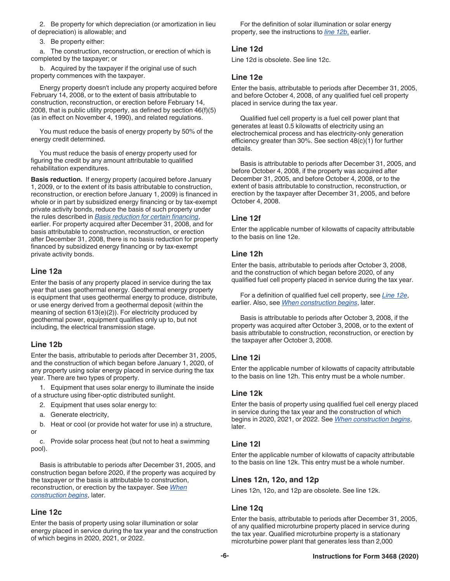<span id="page-5-0"></span>2. Be property for which depreciation (or amortization in lieu of depreciation) is allowable; and

3. Be property either:

a. The construction, reconstruction, or erection of which is completed by the taxpayer; or

b. Acquired by the taxpayer if the original use of such property commences with the taxpayer.

Energy property doesn't include any property acquired before February 14, 2008, or to the extent of basis attributable to construction, reconstruction, or erection before February 14, 2008, that is public utility property, as defined by section 46(f)(5) (as in effect on November 4, 1990), and related regulations.

You must reduce the basis of energy property by 50% of the energy credit determined.

You must reduce the basis of energy property used for figuring the credit by any amount attributable to qualified rehabilitation expenditures.

**Basis reduction.** If energy property (acquired before January 1, 2009, or to the extent of its basis attributable to construction, reconstruction, or erection before January 1, 2009) is financed in whole or in part by subsidized energy financing or by tax-exempt private activity bonds, reduce the basis of such property under the rules described in *[Basis reduction for certain financing](#page-2-0)*, earlier. For property acquired after December 31, 2008, and for basis attributable to construction, reconstruction, or erection after December 31, 2008, there is no basis reduction for property financed by subsidized energy financing or by tax-exempt private activity bonds.

#### **Line 12a**

Enter the basis of any property placed in service during the tax year that uses geothermal energy. Geothermal energy property is equipment that uses geothermal energy to produce, distribute, or use energy derived from a geothermal deposit (within the meaning of section 613(e)(2)). For electricity produced by geothermal power, equipment qualifies only up to, but not including, the electrical transmission stage.

#### **Line 12b**

Enter the basis, attributable to periods after December 31, 2005, and the construction of which began before January 1, 2020, of any property using solar energy placed in service during the tax year. There are two types of property.

1. Equipment that uses solar energy to illuminate the inside of a structure using fiber-optic distributed sunlight.

- 2. Equipment that uses solar energy to:
- a. Generate electricity,

b. Heat or cool (or provide hot water for use in) a structure, or

c. Provide solar process heat (but not to heat a swimming pool).

Basis is attributable to periods after December 31, 2005, and construction began before 2020, if the property was acquired by the taxpayer or the basis is attributable to construction, reconstruction, or erection by the taxpayer. See *[When](#page-7-0)  [construction begins](#page-7-0)*, later.

#### **Line 12c**

Enter the basis of property using solar illumination or solar energy placed in service during the tax year and the construction of which begins in 2020, 2021, or 2022.

For the definition of solar illumination or solar energy property, see the instructions to *line 12b*, earlier.

#### **Line 12d**

Line 12d is obsolete. See line 12c.

#### **Line 12e**

Enter the basis, attributable to periods after December 31, 2005, and before October 4, 2008, of any qualified fuel cell property placed in service during the tax year.

Qualified fuel cell property is a fuel cell power plant that generates at least 0.5 kilowatts of electricity using an electrochemical process and has electricity-only generation efficiency greater than 30%. See section 48(c)(1) for further details.

Basis is attributable to periods after December 31, 2005, and before October 4, 2008, if the property was acquired after December 31, 2005, and before October 4, 2008, or to the extent of basis attributable to construction, reconstruction, or erection by the taxpayer after December 31, 2005, and before October 4, 2008.

#### **Line 12f**

Enter the applicable number of kilowatts of capacity attributable to the basis on line 12e.

#### **Line 12h**

Enter the basis, attributable to periods after October 3, 2008, and the construction of which began before 2020, of any qualified fuel cell property placed in service during the tax year.

For a definition of qualified fuel cell property, see *Line 12e*, earlier. Also, see *[When construction begins](#page-7-0)*, later.

Basis is attributable to periods after October 3, 2008, if the property was acquired after October 3, 2008, or to the extent of basis attributable to construction, reconstruction, or erection by the taxpayer after October 3, 2008.

#### **Line 12i**

Enter the applicable number of kilowatts of capacity attributable to the basis on line 12h. This entry must be a whole number.

#### **Line 12k**

Enter the basis of property using qualified fuel cell energy placed in service during the tax year and the construction of which begins in 2020, 2021, or 2022. See *[When construction begins](#page-7-0)*, later.

#### **Line 12l**

Enter the applicable number of kilowatts of capacity attributable to the basis on line 12k. This entry must be a whole number.

#### **Lines 12n, 12o, and 12p**

Lines 12n, 12o, and 12p are obsolete. See line 12k.

#### **Line 12q**

Enter the basis, attributable to periods after December 31, 2005, of any qualified microturbine property placed in service during the tax year. Qualified microturbine property is a stationary microturbine power plant that generates less than 2,000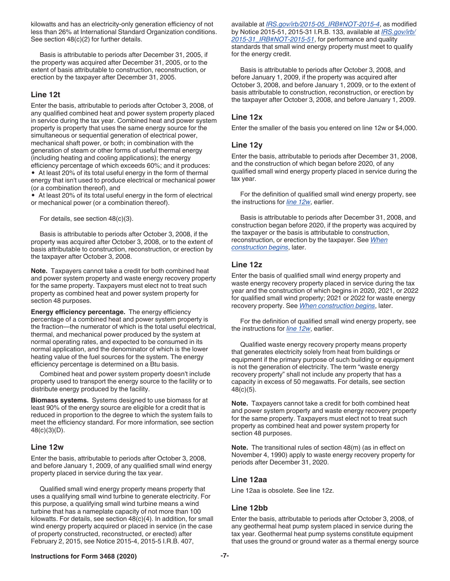<span id="page-6-0"></span>kilowatts and has an electricity-only generation efficiency of not less than 26% at International Standard Organization conditions. See section 48(c)(2) for further details.

Basis is attributable to periods after December 31, 2005, if the property was acquired after December 31, 2005, or to the extent of basis attributable to construction, reconstruction, or erection by the taxpayer after December 31, 2005.

#### **Line 12t**

Enter the basis, attributable to periods after October 3, 2008, of any qualified combined heat and power system property placed in service during the tax year. Combined heat and power system property is property that uses the same energy source for the simultaneous or sequential generation of electrical power, mechanical shaft power, or both; in combination with the generation of steam or other forms of useful thermal energy (including heating and cooling applications); the energy efficiency percentage of which exceeds 60%; and it produces:

• At least 20% of its total useful energy in the form of thermal energy that isn't used to produce electrical or mechanical power (or a combination thereof), and

• At least 20% of its total useful energy in the form of electrical or mechanical power (or a combination thereof).

For details, see section 48(c)(3).

Basis is attributable to periods after October 3, 2008, if the property was acquired after October 3, 2008, or to the extent of basis attributable to construction, reconstruction, or erection by the taxpayer after October 3, 2008.

**Note.** Taxpayers cannot take a credit for both combined heat and power system property and waste energy recovery property for the same property. Taxpayers must elect not to treat such property as combined heat and power system property for section 48 purposes.

**Energy efficiency percentage.** The energy efficiency percentage of a combined heat and power system property is the fraction—the numerator of which is the total useful electrical, thermal, and mechanical power produced by the system at normal operating rates, and expected to be consumed in its normal application, and the denominator of which is the lower heating value of the fuel sources for the system. The energy efficiency percentage is determined on a Btu basis.

Combined heat and power system property doesn't include property used to transport the energy source to the facility or to distribute energy produced by the facility.

**Biomass systems.** Systems designed to use biomass for at least 90% of the energy source are eligible for a credit that is reduced in proportion to the degree to which the system fails to meet the efficiency standard. For more information, see section 48(c)(3)(D).

#### **Line 12w**

Enter the basis, attributable to periods after October 3, 2008, and before January 1, 2009, of any qualified small wind energy property placed in service during the tax year.

Qualified small wind energy property means property that uses a qualifying small wind turbine to generate electricity. For this purpose, a qualifying small wind turbine means a wind turbine that has a nameplate capacity of not more than 100 kilowatts. For details, see section 48(c)(4). In addition, for small wind energy property acquired or placed in service (in the case of property constructed, reconstructed, or erected) after February 2, 2015, see Notice 2015-4, 2015-5 I.R.B. 407,

available at *[IRS.gov/irb/2015-05\\_IRB#NOT-2015-4](https://www.irs.gov/irb/2015-05_IRB#NOT-2015-4)*, as modified by Notice 2015-51, 2015-31 I.R.B. 133, available at *[IRS.gov/irb/](https://www.irs.gov/irb/2015-31_IRB#NOT-2015-51) [2015-31\\_IRB#NOT-2015-51](https://www.irs.gov/irb/2015-31_IRB#NOT-2015-51)*, for performance and quality standards that small wind energy property must meet to qualify for the energy credit.

Basis is attributable to periods after October 3, 2008, and before January 1, 2009, if the property was acquired after October 3, 2008, and before January 1, 2009, or to the extent of basis attributable to construction, reconstruction, or erection by the taxpayer after October 3, 2008, and before January 1, 2009.

#### **Line 12x**

Enter the smaller of the basis you entered on line 12w or \$4,000.

#### **Line 12y**

Enter the basis, attributable to periods after December 31, 2008, and the construction of which began before 2020, of any qualified small wind energy property placed in service during the tax year.

For the definition of qualified small wind energy property, see the instructions for *line 12w*, earlier.

Basis is attributable to periods after December 31, 2008, and construction began before 2020, if the property was acquired by the taxpayer or the basis is attributable to construction, reconstruction, or erection by the taxpayer. See *[When](#page-7-0)  [construction begins](#page-7-0)*, later.

#### **Line 12z**

Enter the basis of qualified small wind energy property and waste energy recovery property placed in service during the tax year and the construction of which begins in 2020, 2021, or 2022 for qualified small wind property; 2021 or 2022 for waste energy recovery property. See *[When construction begins](#page-7-0)*, later.

For the definition of qualified small wind energy property, see the instructions for *line 12w*, earlier.

Qualified waste energy recovery property means property that generates electricity solely from heat from buildings or equipment if the primary purpose of such building or equipment is not the generation of electricity. The term "waste energy recovery property" shall not include any property that has a capacity in excess of 50 megawatts. For details, see section 48(c)(5).

**Note.** Taxpayers cannot take a credit for both combined heat and power system property and waste energy recovery property for the same property. Taxpayers must elect not to treat such property as combined heat and power system property for section 48 purposes.

**Note.** The transitional rules of section 48(m) (as in effect on November 4, 1990) apply to waste energy recovery property for periods after December 31, 2020.

#### **Line 12aa**

Line 12aa is obsolete. See line 12z.

#### **Line 12bb**

Enter the basis, attributable to periods after October 3, 2008, of any geothermal heat pump system placed in service during the tax year. Geothermal heat pump systems constitute equipment that uses the ground or ground water as a thermal energy source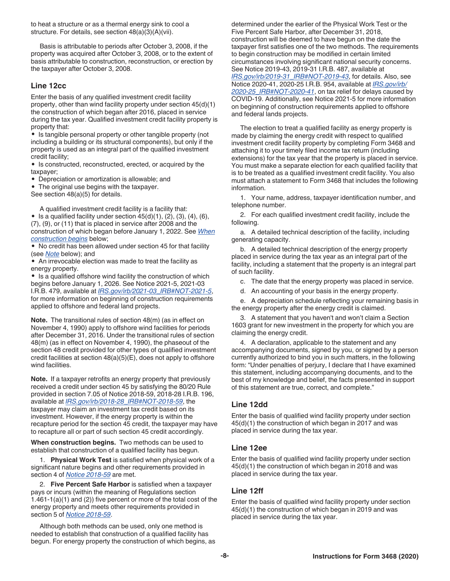<span id="page-7-0"></span>to heat a structure or as a thermal energy sink to cool a structure. For details, see section 48(a)(3)(A)(vii).

Basis is attributable to periods after October 3, 2008, if the property was acquired after October 3, 2008, or to the extent of basis attributable to construction, reconstruction, or erection by the taxpayer after October 3, 2008.

#### **Line 12cc**

Enter the basis of any qualified investment credit facility property, other than wind facility property under section 45(d)(1) the construction of which began after 2016, placed in service during the tax year. Qualified investment credit facility property is property that:

• Is tangible personal property or other tangible property (not including a building or its structural components), but only if the property is used as an integral part of the qualified investment credit facility;

• Is constructed, reconstructed, erected, or acquired by the taxpayer;

• Depreciation or amortization is allowable; and

• The original use begins with the taxpayer. See section 48(a)(5) for details.

A qualified investment credit facility is a facility that:

• Is a qualified facility under section  $45(d)(1)$ ,  $(2)$ ,  $(3)$ ,  $(4)$ ,  $(6)$ , (7), (9), or (11) that is placed in service after 2008 and the construction of which began before January 1, 2022. See *When construction begins* below;

• No credit has been allowed under section 45 for that facility (see *Note* below); and

• An irrevocable election was made to treat the facility as energy property.

• Is a qualified offshore wind facility the construction of which begins before January 1, 2026. See Notice 2021-5, 2021-03 I.R.B. 479, available at *[IRS.gov/irb/2021-03\\_IRB#NOT-2021-5](https://www.irs.gov/irb/2021-03_IRB#NOT-2021-5)*, for more information on beginning of construction requirements applied to offshore and federal land projects.

**Note.** The transitional rules of section 48(m) (as in effect on November 4, 1990) apply to offshore wind facilities for periods after December 31, 2016. Under the transitional rules of section 48(m) (as in effect on November 4, 1990), the phaseout of the section 48 credit provided for other types of qualified investment credit facilities at section 48(a)(5)(E), does not apply to offshore wind facilities.

**Note.** If a taxpayer retrofits an energy property that previously received a credit under section 45 by satisfying the 80/20 Rule provided in section 7.05 of Notice 2018-59, 2018-28 I.R.B. 196, available at *[IRS.gov/irb/2018-28\\_IRB#NOT-2018-59](https://www.irs.gov/irb/2018-28_IRB#NOT-2018-59)*, the taxpayer may claim an investment tax credit based on its investment. However, if the energy property is within the recapture period for the section 45 credit, the taxpayer may have to recapture all or part of such section 45 credit accordingly.

**When construction begins.** Two methods can be used to establish that construction of a qualified facility has begun.

1. **Physical Work Test** is satisfied when physical work of a significant nature begins and other requirements provided in section 4 of *[Notice 2018-59](https://www.irs.gov/irb/2018-28_IRB#NOT-2018-59)* are met.

2. **Five Percent Safe Harbor** is satisfied when a taxpayer pays or incurs (within the meaning of Regulations section 1.461-1(a)(1) and (2)) five percent or more of the total cost of the energy property and meets other requirements provided in section 5 of *[Notice 2018-59](https://www.irs.gov/irb/2018-28_IRB#NOT-2018-59)*.

Although both methods can be used, only one method is needed to establish that construction of a qualified facility has begun. For energy property the construction of which begins, as determined under the earlier of the Physical Work Test or the Five Percent Safe Harbor, after December 31, 2018, construction will be deemed to have begun on the date the taxpayer first satisfies one of the two methods. The requirements to begin construction may be modified in certain limited circumstances involving significant national security concerns. See Notice 2019-43, 2019-31 I.R.B. 487, available at *[IRS.gov/irb/2019-31\\_IRB#NOT-2019-43](https://www.irs.gov/irb/2019-31_IRB#NOT-2019-43)*, for details. Also, see Notice 2020-41, 2020-25 I.R.B. 954, available at *[IRS.gov/irb/](https://www.irs.gov/irb/2020-25_IRB#NOT-2020-41) [2020-25\\_IRB#NOT-2020-41](https://www.irs.gov/irb/2020-25_IRB#NOT-2020-41)*, on tax relief for delays caused by COVID-19. Additionally, see Notice 2021-5 for more information on beginning of construction requirements applied to offshore and federal lands projects.

The election to treat a qualified facility as energy property is made by claiming the energy credit with respect to qualified investment credit facility property by completing Form 3468 and attaching it to your timely filed income tax return (including extensions) for the tax year that the property is placed in service. You must make a separate election for each qualified facility that is to be treated as a qualified investment credit facility. You also must attach a statement to Form 3468 that includes the following information.

1. Your name, address, taxpayer identification number, and telephone number.

2. For each qualified investment credit facility, include the following.

a. A detailed technical description of the facility, including generating capacity.

b. A detailed technical description of the energy property placed in service during the tax year as an integral part of the facility, including a statement that the property is an integral part of such facility.

c. The date that the energy property was placed in service.

d. An accounting of your basis in the energy property.

e. A depreciation schedule reflecting your remaining basis in the energy property after the energy credit is claimed.

3. A statement that you haven't and won't claim a Section 1603 grant for new investment in the property for which you are claiming the energy credit.

4. A declaration, applicable to the statement and any accompanying documents, signed by you, or signed by a person currently authorized to bind you in such matters, in the following form: "Under penalties of perjury, I declare that I have examined this statement, including accompanying documents, and to the best of my knowledge and belief, the facts presented in support of this statement are true, correct, and complete."

#### **Line 12dd**

Enter the basis of qualified wind facility property under section 45(d)(1) the construction of which began in 2017 and was placed in service during the tax year.

#### **Line 12ee**

Enter the basis of qualified wind facility property under section 45(d)(1) the construction of which began in 2018 and was placed in service during the tax year.

#### **Line 12ff**

Enter the basis of qualified wind facility property under section 45(d)(1) the construction of which began in 2019 and was placed in service during the tax year.